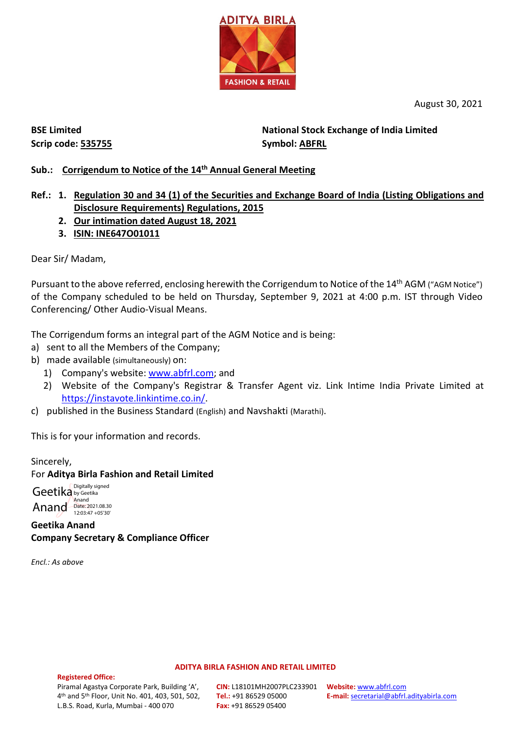

August 30, 2021

**BSE Limited Scrip code: 535755** **National Stock Exchange of India Limited Symbol: ABFRL**

#### **Sub.: Corrigendum to Notice of the 14th Annual General Meeting**

## **Ref.: 1. Regulation 30 and 34 (1) of the Securities and Exchange Board of India (Listing Obligations and Disclosure Requirements) Regulations, 2015**

- **2. Our intimation dated August 18, 2021**
- **3. ISIN: INE647O01011**

Dear Sir/ Madam,

Pursuant to the above referred, enclosing herewith the Corrigendum to Notice of the 14<sup>th</sup> AGM ("AGM Notice") of the Company scheduled to be held on Thursday, September 9, 2021 at 4:00 p.m. IST through Video Conferencing/ Other Audio-Visual Means.

The Corrigendum forms an integral part of the AGM Notice and is being:

- a) sent to all the Members of the Company;
- b) made available (simultaneously) on:
	- 1) Company's website: [www.abfrl.com;](http://www.abfrl.com/) and
	- 2) Website of the Company's Registrar & Transfer Agent viz. Link Intime India Private Limited at [https://instavote.linkintime.co.in/.](https://instavote.linkintime.co.in/)
- c) published in the Business Standard (English) and Navshakti (Marathi).

This is for your information and records.

#### Sincerely, For **Aditya Birla Fashion and Retail Limited**

Geetika by Geetika Anand Date: 2021.08.30 Digitally signed 12:03:47 +05'30'

**Geetika Anand Company Secretary & Compliance Officer**

*Encl.: As above*

#### **ADITYA BIRLA FASHION AND RETAIL LIMITED**

#### **Registered Office:**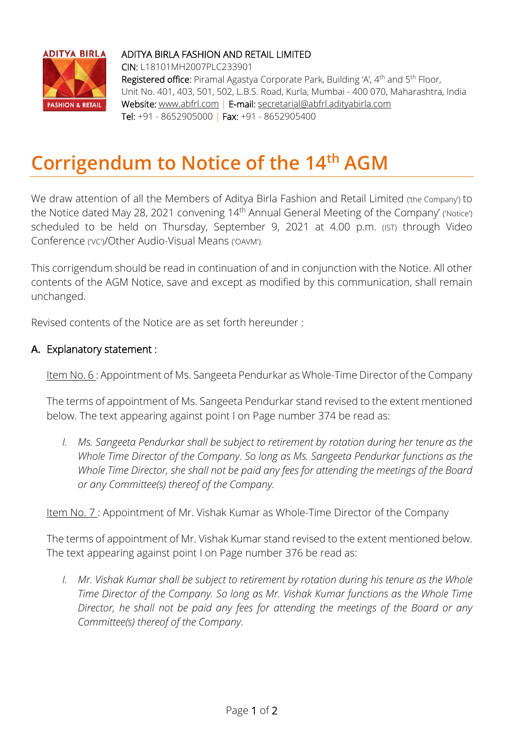

### ADITYA BIRLA FASHION AND RETAIL LIMITED

CIN: L18101MH2007PLC233901 Registered office: Piramal Agastya Corporate Park, Building 'A', 4<sup>th</sup> and 5<sup>th</sup> Floor, Unit No. 401, 403, 501, 502, L.B.S. Road, Kurla, Mumbai - 400 070, Maharashtra, India Website: www.abfrl.com | E-mail: secretarial@abfrl.adityabirla.com Tel: +91 - 8652905000 | Fax: +91 - 8652905400

# **Corrigendum to Notice of the 14th AGM**

We draw attention of all the Members of Aditya Birla Fashion and Retail Limited (the Company) to the Notice dated May 28, 2021 convening 14<sup>th</sup> Annual General Meeting of the Company' ('Notice') scheduled to be held on Thursday, September 9, 2021 at 4.00 p.m. (IST) through Video Conference ('VC')/Other Audio-Visual Means ('OAVM').

This corrigendum should be read in continuation of and in conjunction with the Notice. All other contents of the AGM Notice, save and except as modified by this communication, shall remain unchanged.

Revised contents of the Notice are as set forth hereunder :

### **A.** Explanatory statement :

Item No. 6 : Appointment of Ms. Sangeeta Pendurkar as Whole-Time Director of the Company

The terms of appointment of Ms. Sangeeta Pendurkar stand revised to the extent mentioned below. The text appearing against point I on Page number 374 be read as:

*I. Ms. Sangeeta Pendurkar shall be subject to retirement by rotation during her tenure as the Whole Time Director of the Company. So long as Ms. Sangeeta Pendurkar functions as the Whole Time Director, she shall not be paid any fees for attending the meetings of the Board or any Committee(s) thereof of the Company.*

Item No. 7 : Appointment of Mr. Vishak Kumar as Whole-Time Director of the Company

The terms of appointment of Mr. Vishak Kumar stand revised to the extent mentioned below. The text appearing against point I on Page number 376 be read as:

*I.* Mr. Vishak Kumar shall be subject to retirement by rotation during his tenure as the Whole *Time Director of the Company. So long as Mr. Vishak Kumar functions as the Whole Time Director, he shall not be paid any fees for attending the meetings of the Board or any Committee(s) thereof of the Company.*